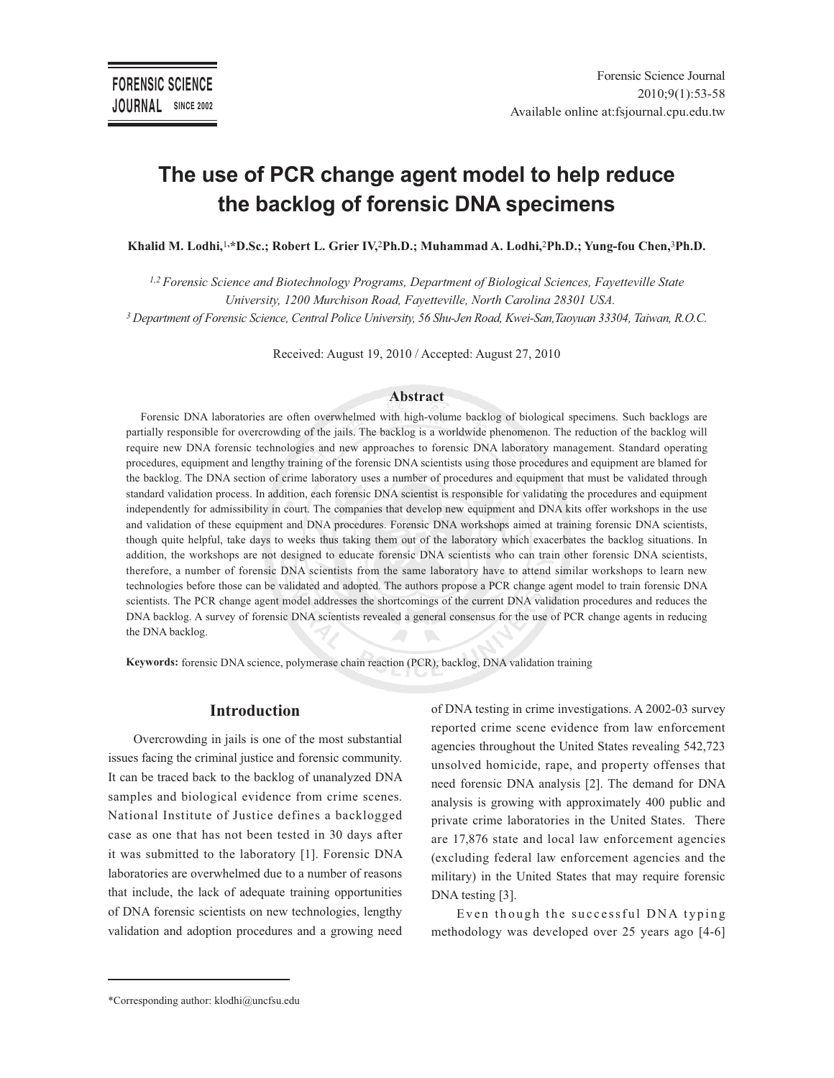# **The use of PCR change agent model to help reduce the backlog of forensic DNA specimens**

**Khalid M. Lodhi,**<sup>1</sup>**,\*D.Sc.; Robert L. Grier IV,**<sup>2</sup>**Ph.D.; Muhammad A. Lodhi,**<sup>2</sup>**Ph.D.; Yung-fou Chen,**<sup>3</sup>**Ph.D.** 

*1,2 Forensic Science and Biotechnology Programs, Department of Biological Sciences, Fayetteville State University, 1200 Murchison Road, Fayetteville, North Carolina 28301 USA. <sup>3</sup>Department of Forensic Science, Central Police University, 56 Shu-Jen Road, Kwei-San,Taoyuan 33304, Taiwan, R.O.C.*

Received: August 19, 2010 / Accepted: August 27, 2010

#### **Abstract**

Forensic DNA laboratories are often overwhelmed with high-volume backlog of biological specimens. Such backlogs are partially responsible for overcrowding of the jails. The backlog is a worldwide phenomenon. The reduction of the backlog will require new DNA forensic technologies and new approaches to forensic DNA laboratory management. Standard operating procedures, equipment and lengthy training of the forensic DNA scientists using those procedures and equipment are blamed for the backlog. The DNA section of crime laboratory uses a number of procedures and equipment that must be validated through standard validation process. In addition, each forensic DNA scientist is responsible for validating the procedures and equipment independently for admissibility in court. The companies that develop new equipment and DNA kits offer workshops in the use and validation of these equipment and DNA procedures. Forensic DNA workshops aimed at training forensic DNA scientists, though quite helpful, take days to weeks thus taking them out of the laboratory which exacerbates the backlog situations. In addition, the workshops are not designed to educate forensic DNA scientists who can train other forensic DNA scientists, therefore, a number of forensic DNA scientists from the same laboratory have to attend similar workshops to learn new technologies before those can be validated and adopted. The authors propose a PCR change agent model to train forensic DNA scientists. The PCR change agent model addresses the shortcomings of the current DNA validation procedures and reduces the DNA backlog. A survey of forensic DNA scientists revealed a general consensus for the use of PCR change agents in reducing the DNA backlog.

**Keywords:** forensic DNA science, polymerase chain reaction (PCR), backlog, DNA validation training

### **Introduction**

Overcrowding in jails is one of the most substantial issues facing the criminal justice and forensic community. It can be traced back to the backlog of unanalyzed DNA samples and biological evidence from crime scenes. National Institute of Justice defines a backlogged case as one that has not been tested in 30 days after it was submitted to the laboratory [1]. Forensic DNA laboratories are overwhelmed due to a number of reasons that include, the lack of adequate training opportunities of DNA forensic scientists on new technologies, lengthy validation and adoption procedures and a growing need

of DNA testing in crime investigations. A 2002-03 survey reported crime scene evidence from law enforcement agencies throughout the United States revealing 542,723 unsolved homicide, rape, and property offenses that need forensic DNA analysis [2]. The demand for DNA analysis is growing with approximately 400 public and private crime laboratories in the United States. There are 17,876 state and local law enforcement agencies (excluding federal law enforcement agencies and the military) in the United States that may require forensic DNA testing [3].

Even though the successful DNA typing methodology was developed over 25 years ago [4-6]

<sup>\*</sup>Corresponding author: klodhi@uncfsu.edu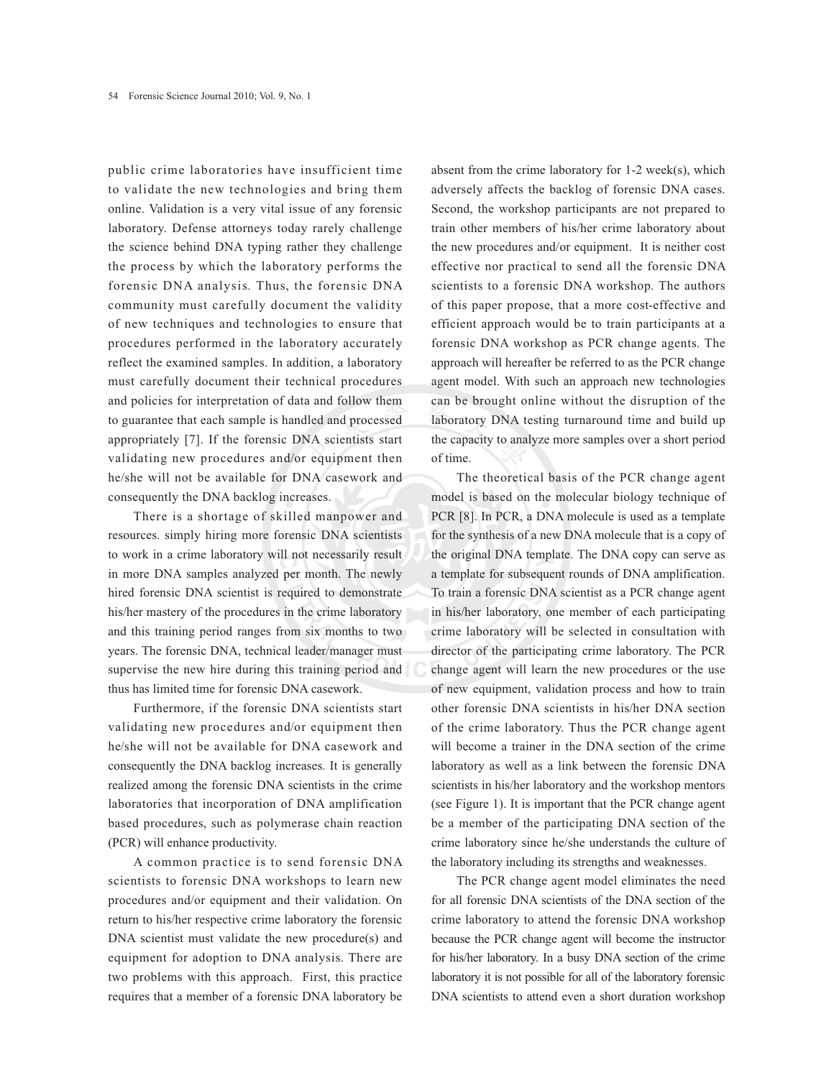public crime laboratories have insufficient time to validate the new technologies and bring them online. Validation is a very vital issue of any forensic laboratory. Defense attorneys today rarely challenge the science behind DNA typing rather they challenge the process by which the laboratory performs the forensic DNA analysis. Thus, the forensic DNA community must carefully document the validity of new techniques and technologies to ensure that procedures performed in the laboratory accurately reflect the examined samples. In addition, a laboratory must carefully document their technical procedures and policies for interpretation of data and follow them to guarantee that each sample is handled and processed appropriately [7]. If the forensic DNA scientists start validating new procedures and/or equipment then he/she will not be available for DNA casework and consequently the DNA backlog increases.

There is a shortage of skilled manpower and resources. simply hiring more forensic DNA scientists to work in a crime laboratory will not necessarily result in more DNA samples analyzed per month. The newly hired forensic DNA scientist is required to demonstrate his/her mastery of the procedures in the crime laboratory and this training period ranges from six months to two years. The forensic DNA, technical leader/manager must supervise the new hire during this training period and thus has limited time for forensic DNA casework.

Furthermore, if the forensic DNA scientists start validating new procedures and/or equipment then he/she will not be available for DNA casework and consequently the DNA backlog increases. It is generally realized among the forensic DNA scientists in the crime laboratories that incorporation of DNA amplification based procedures, such as polymerase chain reaction (PCR) will enhance productivity.

A common practice is to send forensic DNA scientists to forensic DNA workshops to learn new procedures and/or equipment and their validation. On return to his/her respective crime laboratory the forensic DNA scientist must validate the new procedure(s) and equipment for adoption to DNA analysis. There are two problems with this approach. First, this practice requires that a member of a forensic DNA laboratory be

absent from the crime laboratory for 1-2 week(s), which adversely affects the backlog of forensic DNA cases. Second, the workshop participants are not prepared to train other members of his/her crime laboratory about the new procedures and/or equipment. It is neither cost effective nor practical to send all the forensic DNA scientists to a forensic DNA workshop. The authors of this paper propose, that a more cost-effective and efficient approach would be to train participants at a forensic DNA workshop as PCR change agents. The approach will hereafter be referred to as the PCR change agent model. With such an approach new technologies can be brought online without the disruption of the laboratory DNA testing turnaround time and build up the capacity to analyze more samples over a short period of time.

The theoretical basis of the PCR change agent model is based on the molecular biology technique of PCR [8]. In PCR, a DNA molecule is used as a template for the synthesis of a new DNA molecule that is a copy of the original DNA template. The DNA copy can serve as a template for subsequent rounds of DNA amplification. To train a forensic DNA scientist as a PCR change agent in his/her laboratory, one member of each participating crime laboratory will be selected in consultation with director of the participating crime laboratory. The PCR change agent will learn the new procedures or the use of new equipment, validation process and how to train other forensic DNA scientists in his/her DNA section of the crime laboratory. Thus the PCR change agent will become a trainer in the DNA section of the crime laboratory as well as a link between the forensic DNA scientists in his/her laboratory and the workshop mentors (see Figure 1). It is important that the PCR change agent be a member of the participating DNA section of the crime laboratory since he/she understands the culture of the laboratory including its strengths and weaknesses.

The PCR change agent model eliminates the need for all forensic DNA scientists of the DNA section of the crime laboratory to attend the forensic DNA workshop because the PCR change agent will become the instructor for his/her laboratory. In a busy DNA section of the crime laboratory it is not possible for all of the laboratory forensic DNA scientists to attend even a short duration workshop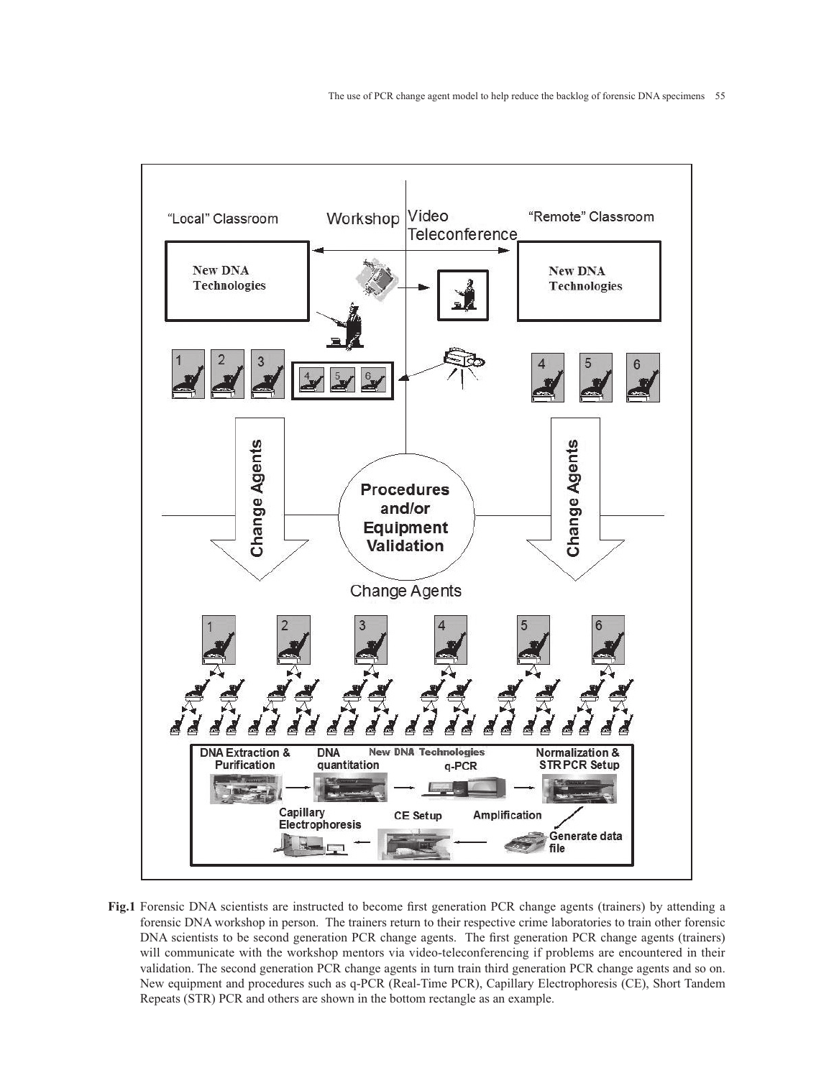

**Fig.1** Forensic DNA scientists are instructed to become first generation PCR change agents (trainers) by attending a forensic DNA workshop in person. The trainers return to their respective crime laboratories to train other forensic DNA scientists to be second generation PCR change agents. The first generation PCR change agents (trainers) will communicate with the workshop mentors via video-teleconferencing if problems are encountered in their validation. The second generation PCR change agents in turn train third generation PCR change agents and so on. New equipment and procedures such as q-PCR (Real-Time PCR), Capillary Electrophoresis (CE), Short Tandem Repeats (STR) PCR and others are shown in the bottom rectangle as an example.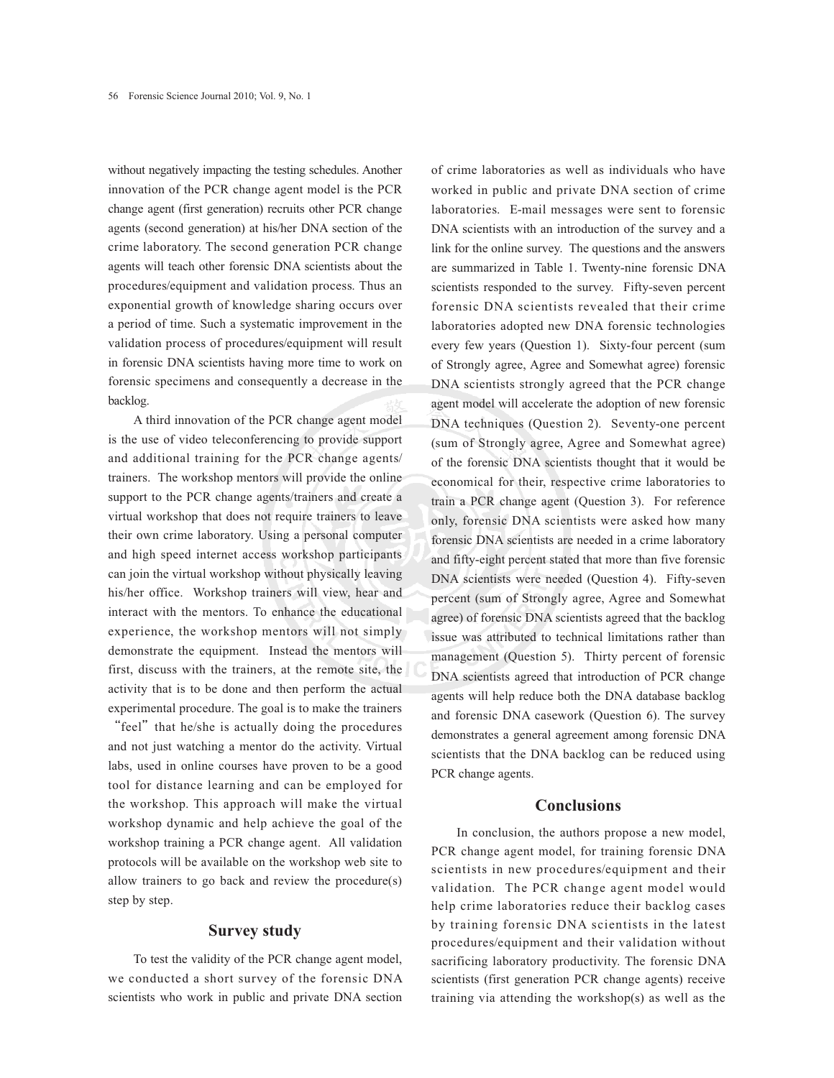without negatively impacting the testing schedules. Another innovation of the PCR change agent model is the PCR change agent (first generation) recruits other PCR change agents (second generation) at his/her DNA section of the crime laboratory. The second generation PCR change agents will teach other forensic DNA scientists about the procedures/equipment and validation process. Thus an exponential growth of knowledge sharing occurs over a period of time. Such a systematic improvement in the validation process of procedures/equipment will result in forensic DNA scientists having more time to work on forensic specimens and consequently a decrease in the backlog.

A third innovation of the PCR change agent model is the use of video teleconferencing to provide support and additional training for the PCR change agents/ trainers. The workshop mentors will provide the online support to the PCR change agents/trainers and create a virtual workshop that does not require trainers to leave their own crime laboratory. Using a personal computer and high speed internet access workshop participants can join the virtual workshop without physically leaving his/her office. Workshop trainers will view, hear and interact with the mentors. To enhance the educational experience, the workshop mentors will not simply demonstrate the equipment. Instead the mentors will first, discuss with the trainers, at the remote site, the activity that is to be done and then perform the actual experimental procedure. The goal is to make the trainers "feel" that he/she is actually doing the procedures and not just watching a mentor do the activity. Virtual labs, used in online courses have proven to be a good tool for distance learning and can be employed for

the workshop. This approach will make the virtual workshop dynamic and help achieve the goal of the workshop training a PCR change agent. All validation protocols will be available on the workshop web site to allow trainers to go back and review the procedure(s) step by step.

## **Survey study**

To test the validity of the PCR change agent model, we conducted a short survey of the forensic DNA scientists who work in public and private DNA section of crime laboratories as well as individuals who have worked in public and private DNA section of crime laboratories. E-mail messages were sent to forensic DNA scientists with an introduction of the survey and a link for the online survey. The questions and the answers are summarized in Table 1. Twenty-nine forensic DNA scientists responded to the survey. Fifty-seven percent forensic DNA scientists revealed that their crime laboratories adopted new DNA forensic technologies every few years (Question 1). Sixty-four percent (sum of Strongly agree, Agree and Somewhat agree) forensic DNA scientists strongly agreed that the PCR change agent model will accelerate the adoption of new forensic DNA techniques (Question 2). Seventy-one percent (sum of Strongly agree, Agree and Somewhat agree) of the forensic DNA scientists thought that it would be economical for their, respective crime laboratories to train a PCR change agent (Question 3). For reference only, forensic DNA scientists were asked how many forensic DNA scientists are needed in a crime laboratory and fifty-eight percent stated that more than five forensic DNA scientists were needed (Question 4). Fifty-seven percent (sum of Strongly agree, Agree and Somewhat agree) of forensic DNA scientists agreed that the backlog issue was attributed to technical limitations rather than management (Question 5). Thirty percent of forensic DNA scientists agreed that introduction of PCR change agents will help reduce both the DNA database backlog and forensic DNA casework (Question 6). The survey demonstrates a general agreement among forensic DNA scientists that the DNA backlog can be reduced using PCR change agents.

#### **Conclusions**

In conclusion, the authors propose a new model, PCR change agent model, for training forensic DNA scientists in new procedures/equipment and their validation. The PCR change agent model would help crime laboratories reduce their backlog cases by training forensic DNA scientists in the latest procedures/equipment and their validation without sacrificing laboratory productivity. The forensic DNA scientists (first generation PCR change agents) receive training via attending the workshop(s) as well as the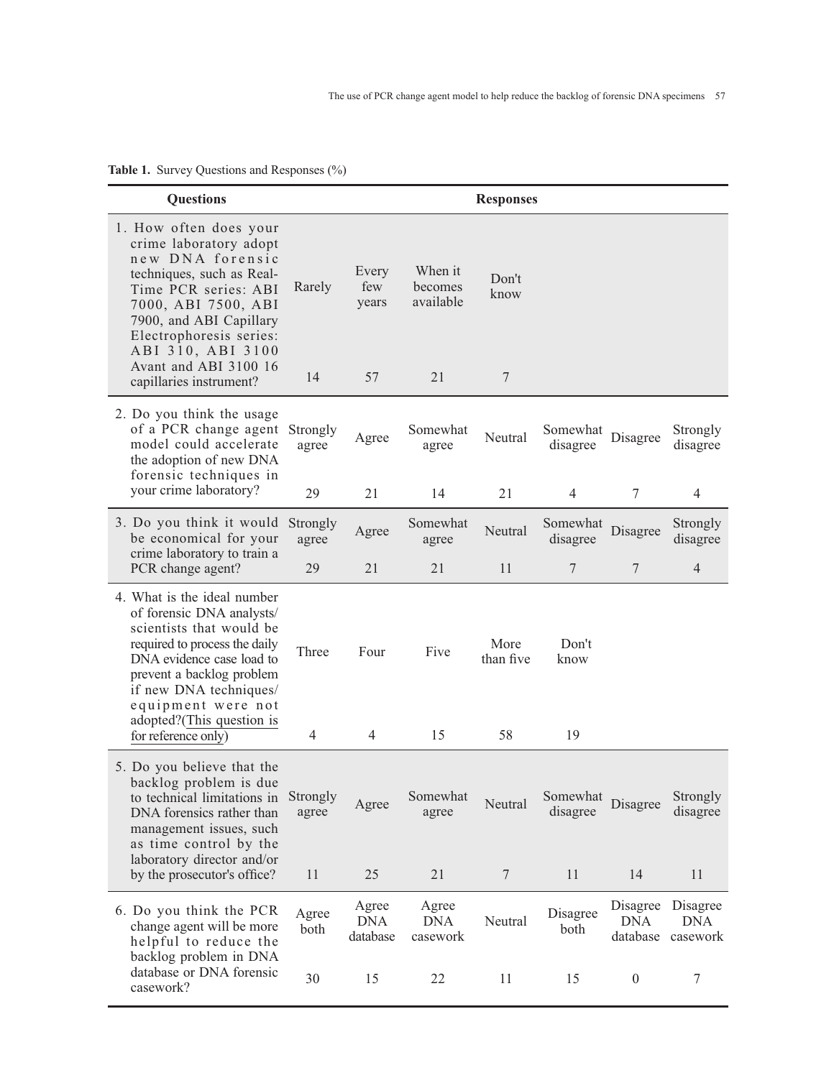| <b>Questions</b>                                                                                                                                                                                                                                                                |                         |                                 |                                       | <b>Responses</b>                |                           |                             |                                    |
|---------------------------------------------------------------------------------------------------------------------------------------------------------------------------------------------------------------------------------------------------------------------------------|-------------------------|---------------------------------|---------------------------------------|---------------------------------|---------------------------|-----------------------------|------------------------------------|
| 1. How often does your<br>crime laboratory adopt<br>new DNA forensic<br>techniques, such as Real-<br>Time PCR series: ABI<br>7000, ABI 7500, ABI<br>7900, and ABI Capillary<br>Electrophoresis series:<br>ABI 310, ABI 3100<br>Avant and ABI 3100 16<br>capillaries instrument? | Rarely<br>14            | Every<br>few<br>years<br>57     | When it<br>becomes<br>available<br>21 | Don't<br>know<br>$\overline{7}$ |                           |                             |                                    |
| 2. Do you think the usage<br>of a PCR change agent<br>model could accelerate<br>the adoption of new DNA<br>forensic techniques in<br>your crime laboratory?                                                                                                                     | Strongly<br>agree<br>29 | Agree<br>21                     | Somewhat<br>agree<br>14               | Neutral<br>21                   | Somewhat<br>disagree<br>4 | Disagree<br>$\tau$          | Strongly<br>disagree<br>4          |
| 3. Do you think it would<br>be economical for your                                                                                                                                                                                                                              | Strongly<br>agree       | Agree                           | Somewhat<br>agree                     | Neutral                         | Somewhat<br>disagree      | Disagree                    | Strongly<br>disagree               |
| crime laboratory to train a<br>PCR change agent?                                                                                                                                                                                                                                | 29                      | 21                              | 21                                    | 11                              | 7                         | 7                           | $\overline{4}$                     |
| 4. What is the ideal number<br>of forensic DNA analysts/<br>scientists that would be<br>required to process the daily<br>DNA evidence case load to<br>prevent a backlog problem<br>if new DNA techniques/<br>equipment were not<br>adopted?(This question is                    | Three                   | Four                            | Five                                  | More<br>than five               | Don't<br>know             |                             |                                    |
| for reference only)                                                                                                                                                                                                                                                             | $\overline{4}$          | $\overline{4}$                  | 15                                    | 58                              | 19                        |                             |                                    |
| 5. Do you believe that the<br>backlog problem is due<br>to technical limitations in<br>DNA forensics rather than<br>management issues, such<br>as time control by the<br>laboratory director and/or<br>by the prosecutor's office?                                              | Strongly<br>agree       | Agree                           | Somewhat<br>agree                     | Neutral                         | Somewhat<br>disagree      | Disagree                    | Strongly<br>disagree               |
|                                                                                                                                                                                                                                                                                 | 11                      | 25                              | 21                                    | 7                               | 11                        | 14                          | 11                                 |
| 6. Do you think the PCR<br>change agent will be more<br>helpful to reduce the<br>backlog problem in DNA                                                                                                                                                                         | Agree<br>both           | Agree<br><b>DNA</b><br>database | Agree<br><b>DNA</b><br>casework       | Neutral                         | Disagree<br>both          | Disagree<br>DNA<br>database | Disagree<br><b>DNA</b><br>casework |
| database or DNA forensic<br>casework?                                                                                                                                                                                                                                           | 30                      | 15                              | 22                                    | 11                              | 15                        | $\boldsymbol{0}$            | 7                                  |

**Table 1.** Survey Questions and Responses (%)